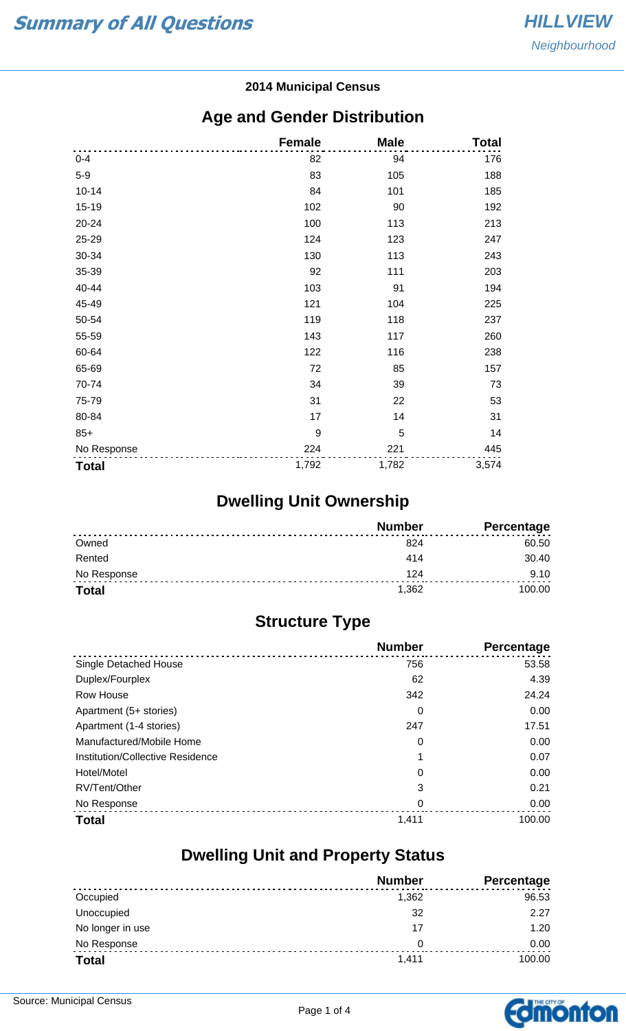#### **2014 Municipal Census**

#### **Age and Gender Distribution**

|              | <b>Female</b> | <b>Male</b> | <b>Total</b> |
|--------------|---------------|-------------|--------------|
| $0 - 4$      | 82            | 94          | 176          |
| $5-9$        | 83            | 105         | 188          |
| $10 - 14$    | 84            | 101         | 185          |
| $15 - 19$    | 102           | 90          | 192          |
| 20-24        | 100           | 113         | 213          |
| 25-29        | 124           | 123         | 247          |
| 30-34        | 130           | 113         | 243          |
| 35-39        | 92            | 111         | 203          |
| 40-44        | 103           | 91          | 194          |
| 45-49        | 121           | 104         | 225          |
| 50-54        | 119           | 118         | 237          |
| 55-59        | 143           | 117         | 260          |
| 60-64        | 122           | 116         | 238          |
| 65-69        | 72            | 85          | 157          |
| 70-74        | 34            | 39          | 73           |
| 75-79        | 31            | 22          | 53           |
| 80-84        | 17            | 14          | 31           |
| $85+$        | 9             | 5           | 14           |
| No Response  | 224           | 221         | 445          |
| <b>Total</b> | 1,792         | 1,782       | 3,574        |

# **Dwelling Unit Ownership**

|              | <b>Number</b> | <b>Percentage</b> |
|--------------|---------------|-------------------|
| Owned        | 824           | 60.50             |
| Rented       | 414           | 30.40             |
| No Response  | 124           | 9.10              |
| <b>Total</b> | 1,362         | 100.00            |

## **Structure Type**

|                                  | <b>Number</b> | Percentage |
|----------------------------------|---------------|------------|
| Single Detached House            | 756           | 53.58      |
| Duplex/Fourplex                  | 62            | 4.39       |
| Row House                        | 342           | 24.24      |
| Apartment (5+ stories)           | 0             | 0.00       |
| Apartment (1-4 stories)          | 247           | 17.51      |
| Manufactured/Mobile Home         | 0             | 0.00       |
| Institution/Collective Residence | 1             | 0.07       |
| Hotel/Motel                      | 0             | 0.00       |
| RV/Tent/Other                    | 3             | 0.21       |
| No Response                      | 0             | 0.00       |
| <b>Total</b>                     | 1,411         | 100.00     |

#### **Dwelling Unit and Property Status**

|                  | <b>Number</b> | <b>Percentage</b> |
|------------------|---------------|-------------------|
| Occupied         | 1,362         | 96.53             |
| Unoccupied       | 32            | 2.27              |
| No longer in use | 17            | 1.20              |
| No Response      | 0             | 0.00              |
| <b>Total</b>     | 1,411         | 100.00            |

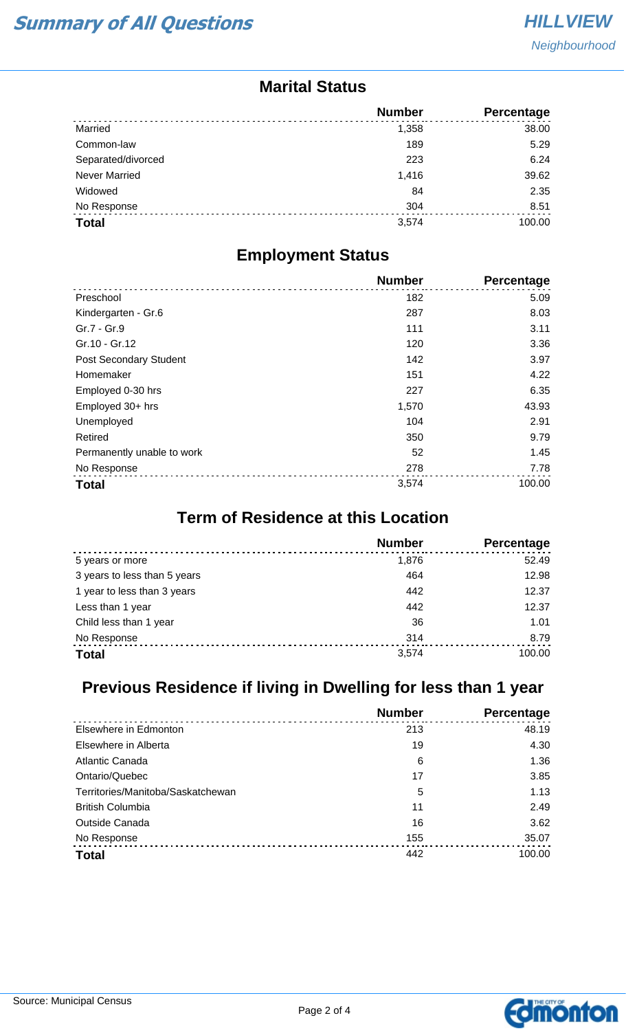#### **Marital Status**

|                      | <b>Number</b> | Percentage |
|----------------------|---------------|------------|
| Married              | 1,358         | 38.00      |
| Common-law           | 189           | 5.29       |
| Separated/divorced   | 223           | 6.24       |
| <b>Never Married</b> | 1,416         | 39.62      |
| Widowed              | 84            | 2.35       |
| No Response          | 304           | 8.51       |
| <b>Total</b>         | 3,574         | 100.00     |

#### **Employment Status**

|                               | <b>Number</b> | Percentage |
|-------------------------------|---------------|------------|
| Preschool                     | 182           | 5.09       |
| Kindergarten - Gr.6           | 287           | 8.03       |
| Gr.7 - Gr.9                   | 111           | 3.11       |
| Gr.10 - Gr.12                 | 120           | 3.36       |
| <b>Post Secondary Student</b> | 142           | 3.97       |
| Homemaker                     | 151           | 4.22       |
| Employed 0-30 hrs             | 227           | 6.35       |
| Employed 30+ hrs              | 1,570         | 43.93      |
| Unemployed                    | 104           | 2.91       |
| Retired                       | 350           | 9.79       |
| Permanently unable to work    | 52            | 1.45       |
| No Response                   | 278           | 7.78       |
| <b>Total</b>                  | 3,574         | 100.00     |

## **Term of Residence at this Location**

|                              | <b>Number</b> | Percentage |
|------------------------------|---------------|------------|
| 5 years or more              | 1,876         | 52.49      |
| 3 years to less than 5 years | 464           | 12.98      |
| 1 year to less than 3 years  | 442           | 12.37      |
| Less than 1 year             | 442           | 12.37      |
| Child less than 1 year       | 36            | 1.01       |
| No Response                  | 314           | 8.79       |
| <b>Total</b>                 | 3,574         | 100.00     |

## **Previous Residence if living in Dwelling for less than 1 year**

|                                   | <b>Number</b> | Percentage |
|-----------------------------------|---------------|------------|
| Elsewhere in Edmonton             | 213           | 48.19      |
| Elsewhere in Alberta              | 19            | 4.30       |
| Atlantic Canada                   | 6             | 1.36       |
| Ontario/Quebec                    | 17            | 3.85       |
| Territories/Manitoba/Saskatchewan | 5             | 1.13       |
| <b>British Columbia</b>           | 11            | 2.49       |
| <b>Outside Canada</b>             | 16            | 3.62       |
| No Response                       | 155           | 35.07      |
| <b>Total</b>                      | 442           | 100.00     |

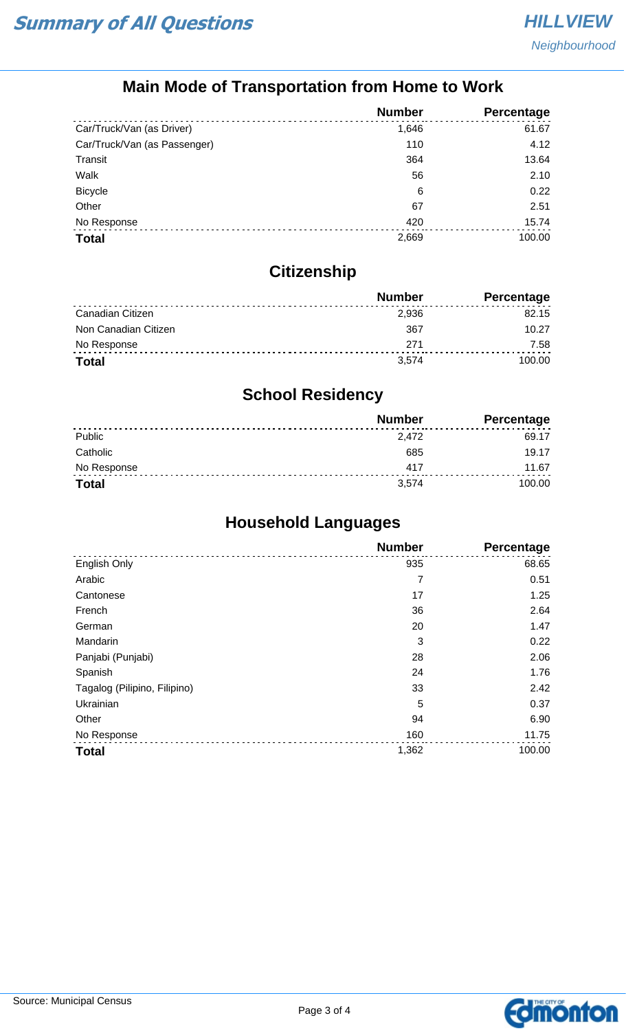## **Main Mode of Transportation from Home to Work**

|                              | <b>Number</b> | Percentage |
|------------------------------|---------------|------------|
| Car/Truck/Van (as Driver)    | 1,646         | 61.67      |
| Car/Truck/Van (as Passenger) | 110           | 4.12       |
| Transit                      | 364           | 13.64      |
| Walk                         | 56            | 2.10       |
| <b>Bicycle</b>               | 6             | 0.22       |
| Other                        | 67            | 2.51       |
| No Response                  | 420           | 15.74      |
| <b>Total</b>                 | 2,669         | 100.00     |

## **Citizenship**

|                      | <b>Number</b> | <b>Percentage</b> |
|----------------------|---------------|-------------------|
| Canadian Citizen     | 2,936         | 82.15             |
| Non Canadian Citizen | 367           | 10.27             |
| No Response          | 271           | 7.58              |
| <b>Total</b>         | 3.574         | 100.00            |

## **School Residency**

|              | <b>Number</b> | <b>Percentage</b> |
|--------------|---------------|-------------------|
| Public       | 2.472         | 69.17             |
| Catholic     | 685           | 19.17             |
| No Response  | 417           | 11.67             |
| <b>Total</b> | 3.574         | 100.00            |

## **Household Languages**

|                              | <b>Number</b> | <b>Percentage</b> |
|------------------------------|---------------|-------------------|
| English Only                 | 935           | 68.65             |
| Arabic                       | 7             | 0.51              |
| Cantonese                    | 17            | 1.25              |
| French                       | 36            | 2.64              |
| German                       | 20            | 1.47              |
| Mandarin                     | 3             | 0.22              |
| Panjabi (Punjabi)            | 28            | 2.06              |
| Spanish                      | 24            | 1.76              |
| Tagalog (Pilipino, Filipino) | 33            | 2.42              |
| Ukrainian                    | 5             | 0.37              |
| Other                        | 94            | 6.90              |
| No Response                  | 160           | 11.75             |
| <b>Total</b>                 | 1,362         | 100.00            |